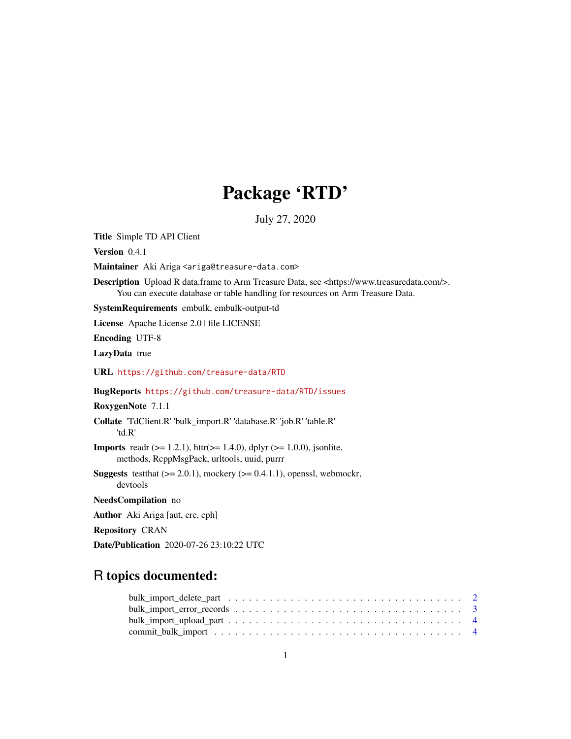# Package 'RTD'

July 27, 2020

Title Simple TD API Client

Version 0.4.1

Maintainer Aki Ariga <ariga@treasure-data.com>

Description Upload R data.frame to Arm Treasure Data, see <https://www.treasuredata.com/>. You can execute database or table handling for resources on Arm Treasure Data.

SystemRequirements embulk, embulk-output-td

License Apache License 2.0 | file LICENSE

Encoding UTF-8

LazyData true

URL <https://github.com/treasure-data/RTD>

BugReports <https://github.com/treasure-data/RTD/issues>

RoxygenNote 7.1.1

Collate 'TdClient.R' 'bulk\_import.R' 'database.R' 'job.R' 'table.R' 'td.R'

**Imports** readr ( $>= 1.2.1$ ), httr( $>= 1.4.0$ ), dplyr ( $>= 1.0.0$ ), jsonlite, methods, RcppMsgPack, urltools, uuid, purrr

**Suggests** test that  $(>= 2.0.1)$ , mockery  $(>= 0.4.1.1)$ , openssl, webmockr, devtools

NeedsCompilation no

Author Aki Ariga [aut, cre, cph]

Repository CRAN

Date/Publication 2020-07-26 23:10:22 UTC

# R topics documented: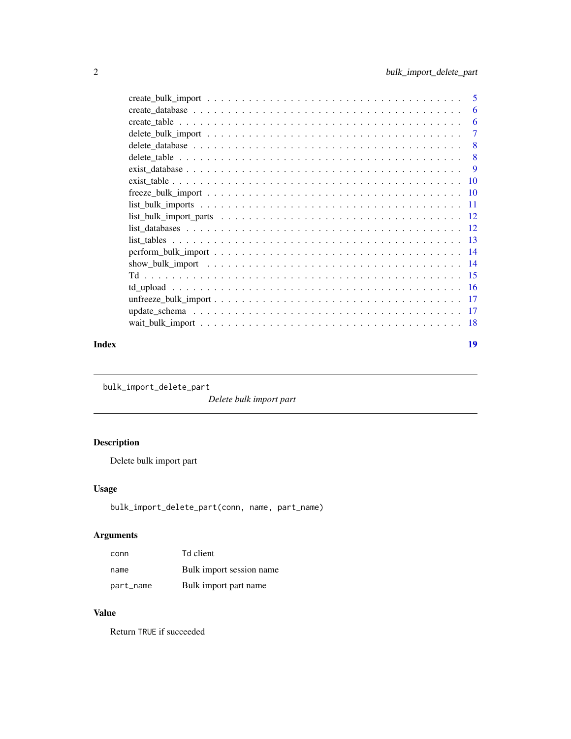<span id="page-1-0"></span>

|       | -6             |
|-------|----------------|
|       | -6             |
|       | $\overline{7}$ |
|       |                |
|       |                |
|       |                |
|       |                |
|       |                |
|       |                |
|       |                |
|       |                |
|       |                |
|       |                |
|       |                |
|       |                |
|       |                |
|       |                |
|       |                |
|       |                |
| Index | 19             |

bulk\_import\_delete\_part

*Delete bulk import part*

# Description

Delete bulk import part

# Usage

bulk\_import\_delete\_part(conn, name, part\_name)

# Arguments

| conn      | Td client                |
|-----------|--------------------------|
| name      | Bulk import session name |
| part_name | Bulk import part name    |

#### Value

Return TRUE if succeeded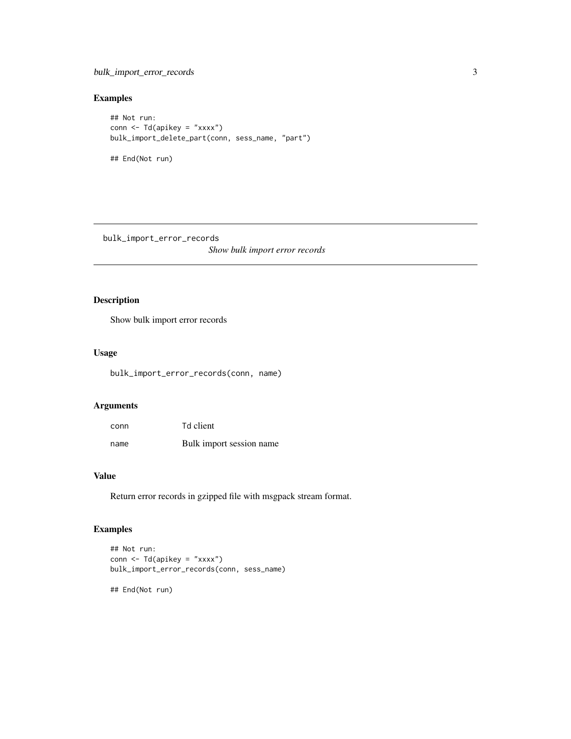<span id="page-2-0"></span>bulk\_import\_error\_records 3

# Examples

```
## Not run:
conn <- Td(apikey = "xxxx")
bulk_import_delete_part(conn, sess_name, "part")
## End(Not run)
```
bulk\_import\_error\_records *Show bulk import error records*

# Description

Show bulk import error records

# Usage

bulk\_import\_error\_records(conn, name)

# Arguments

| conn | Td client                |
|------|--------------------------|
| name | Bulk import session name |

#### Value

Return error records in gzipped file with msgpack stream format.

# Examples

```
## Not run:
conn <- Td(apikey = "xxxx")
bulk_import_error_records(conn, sess_name)
```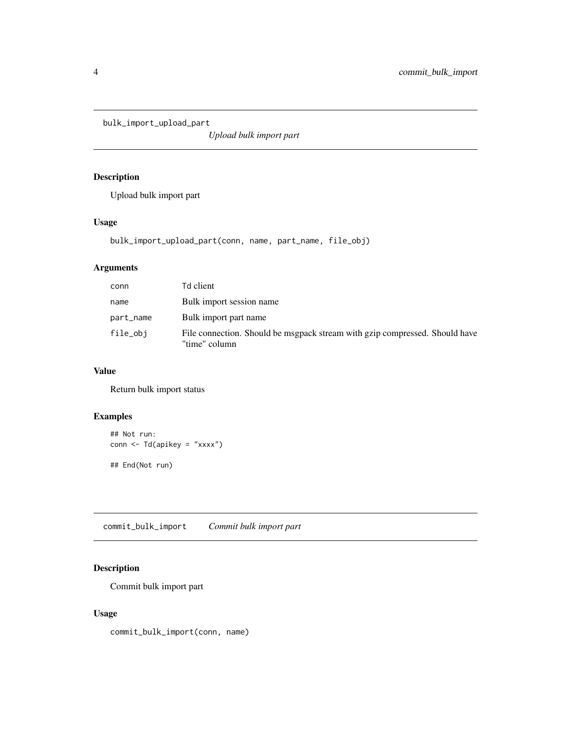<span id="page-3-0"></span>bulk\_import\_upload\_part

*Upload bulk import part*

# Description

Upload bulk import part

# Usage

bulk\_import\_upload\_part(conn, name, part\_name, file\_obj)

# Arguments

| conn      | Td client                                                                                    |
|-----------|----------------------------------------------------------------------------------------------|
| name      | Bulk import session name                                                                     |
| part_name | Bulk import part name                                                                        |
| file_obj  | File connection. Should be msgpack stream with gzip compressed. Should have<br>"time" column |

# Value

Return bulk import status

# Examples

```
## Not run:
conn <- Td(apikey = "xxxx")
## End(Not run)
```
commit\_bulk\_import *Commit bulk import part*

# Description

Commit bulk import part

# Usage

commit\_bulk\_import(conn, name)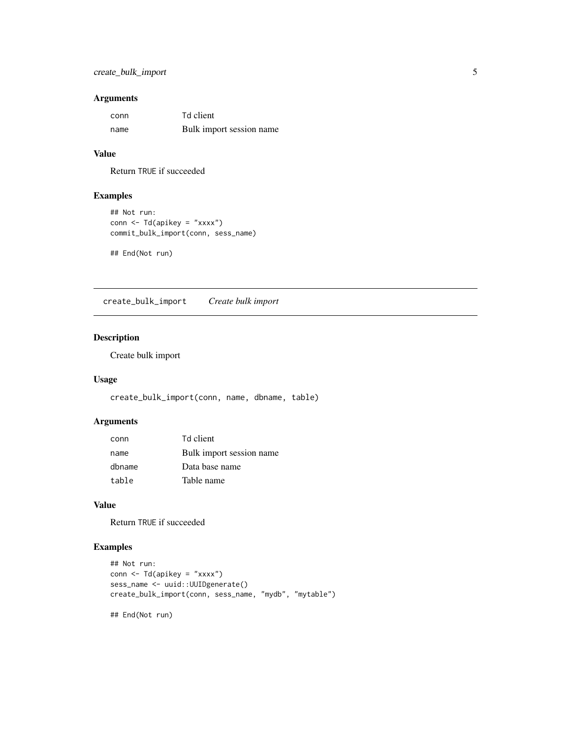# <span id="page-4-0"></span>Arguments

| conn | Td client                |
|------|--------------------------|
| name | Bulk import session name |

# Value

Return TRUE if succeeded

# Examples

```
## Not run:
conn <- Td(apikey = "xxxx")
commit_bulk_import(conn, sess_name)
```
## End(Not run)

create\_bulk\_import *Create bulk import*

# Description

Create bulk import

# Usage

create\_bulk\_import(conn, name, dbname, table)

# Arguments

| conn   | Td client                |
|--------|--------------------------|
| name   | Bulk import session name |
| dbname | Data base name           |
| table  | Table name               |

#### Value

Return TRUE if succeeded

# Examples

```
## Not run:
conn <- Td(apikey = "xxxx")
sess_name <- uuid::UUIDgenerate()
create_bulk_import(conn, sess_name, "mydb", "mytable")
```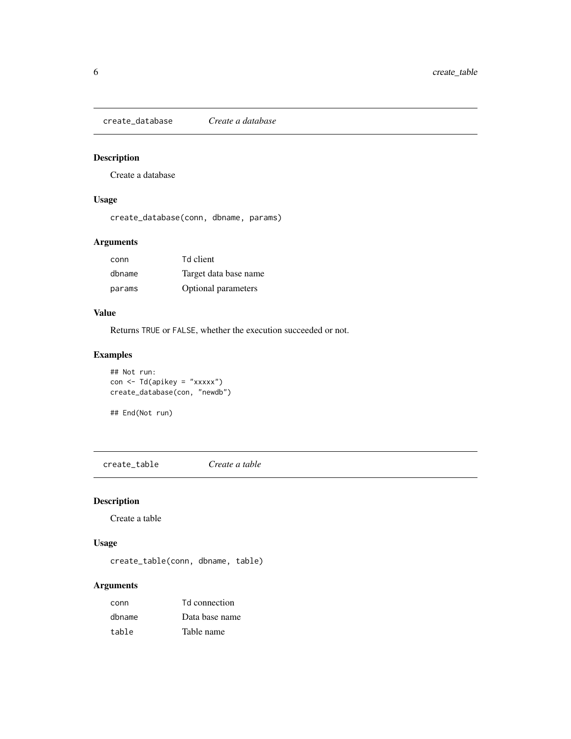<span id="page-5-0"></span>create\_database *Create a database*

# Description

Create a database

# Usage

create\_database(conn, dbname, params)

# Arguments

| conn   | Td client             |
|--------|-----------------------|
| dbname | Target data base name |
| params | Optional parameters   |

# Value

Returns TRUE or FALSE, whether the execution succeeded or not.

# Examples

```
## Not run:
con < Td(apikey = "xxxxx")
create_database(con, "newdb")
```

```
## End(Not run)
```
create\_table *Create a table*

# Description

Create a table

#### Usage

create\_table(conn, dbname, table)

| conn   | Td connection  |
|--------|----------------|
| dbname | Data base name |
| table  | Table name     |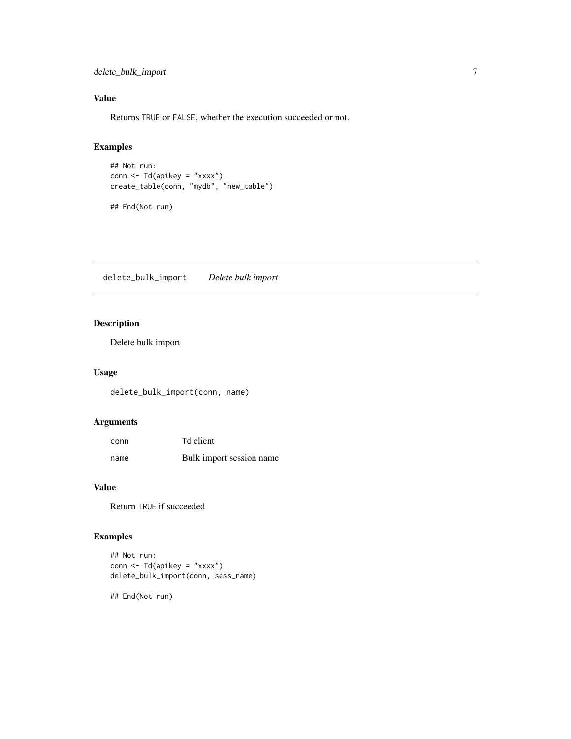<span id="page-6-0"></span>delete\_bulk\_import 7

# Value

Returns TRUE or FALSE, whether the execution succeeded or not.

# Examples

```
## Not run:
conn <- Td(apikey = "xxxx")
create_table(conn, "mydb", "new_table")
## End(Not run)
```
delete\_bulk\_import *Delete bulk import*

# Description

Delete bulk import

# Usage

delete\_bulk\_import(conn, name)

# Arguments

| conn | Td client                |
|------|--------------------------|
| name | Bulk import session name |

# Value

Return TRUE if succeeded

# Examples

```
## Not run:
conn < - Td(apikey = "xxxx")
delete_bulk_import(conn, sess_name)
```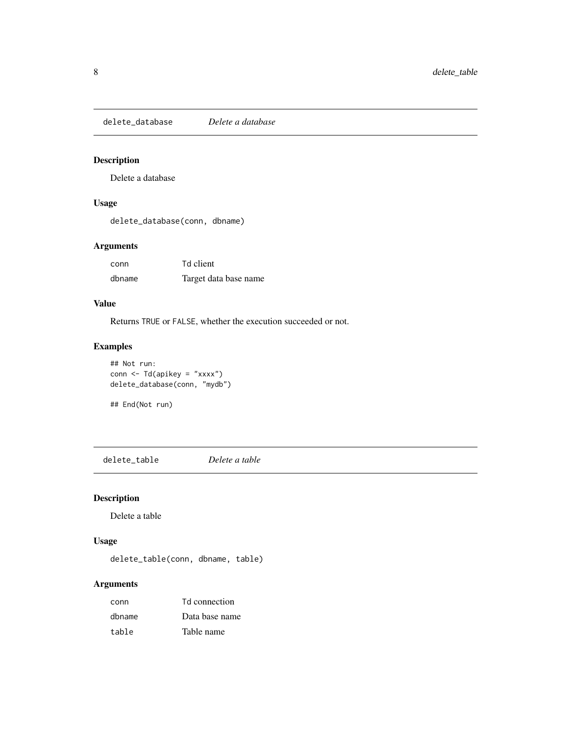<span id="page-7-0"></span>delete\_database *Delete a database*

# Description

Delete a database

# Usage

delete\_database(conn, dbname)

# Arguments

| conn   | Td client             |
|--------|-----------------------|
| dbname | Target data base name |

# Value

Returns TRUE or FALSE, whether the execution succeeded or not.

# Examples

```
## Not run:
conn <- Td(apikey = "xxxx")
delete_database(conn, "mydb")
```
## End(Not run)

delete\_table *Delete a table*

# Description

Delete a table

# Usage

delete\_table(conn, dbname, table)

| conn   | Td connection  |
|--------|----------------|
| dbname | Data base name |
| table  | Table name     |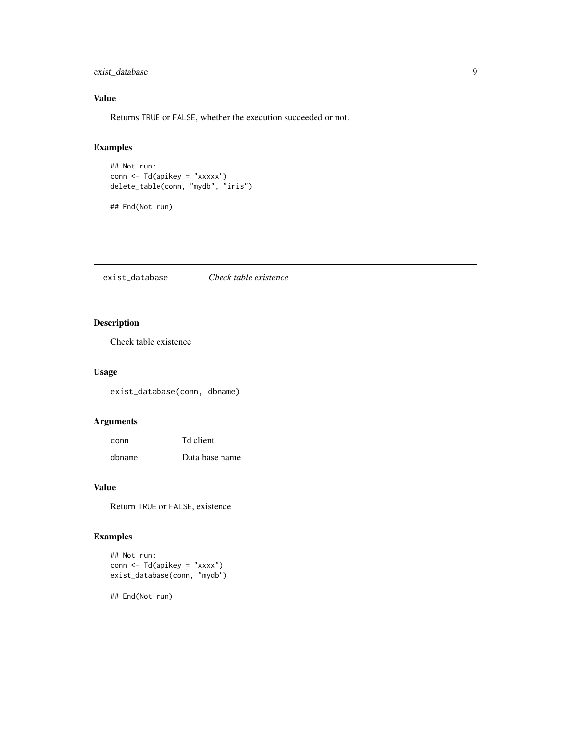# <span id="page-8-0"></span>exist\_database 9

# Value

Returns TRUE or FALSE, whether the execution succeeded or not.

# Examples

```
## Not run:
conn <- Td(apikey = "xxxxx")
delete_table(conn, "mydb", "iris")
## End(Not run)
```
exist\_database *Check table existence*

# Description

Check table existence

# Usage

exist\_database(conn, dbname)

# Arguments

| conn   | Td client      |
|--------|----------------|
| dbname | Data base name |

# Value

Return TRUE or FALSE, existence

# Examples

```
## Not run:
conn <- Td(apikey = "xxxx")
exist_database(conn, "mydb")
```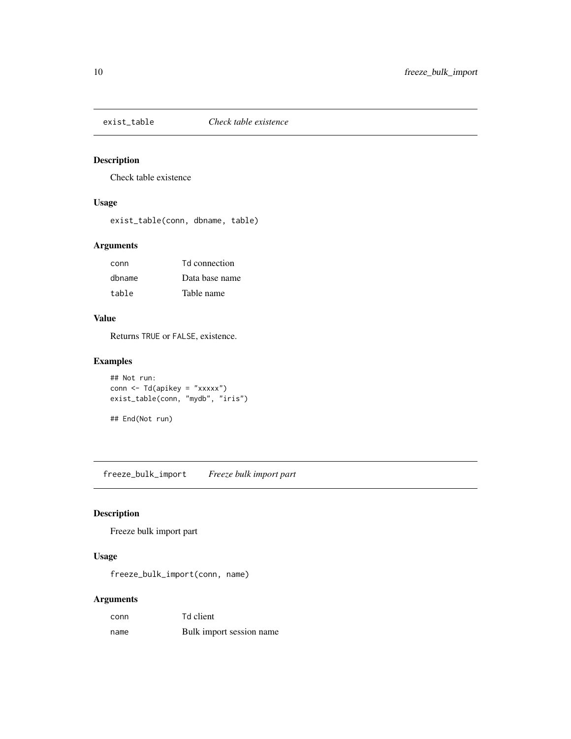<span id="page-9-0"></span>

# Description

Check table existence

# Usage

exist\_table(conn, dbname, table)

# Arguments

| conn   | <b>Td</b> connection |
|--------|----------------------|
| dbname | Data base name       |
| table  | Table name           |

# Value

Returns TRUE or FALSE, existence.

# Examples

```
## Not run:
conn <- Td(apikey = "xxxxx")
exist_table(conn, "mydb", "iris")
## End(Not run)
```
freeze\_bulk\_import *Freeze bulk import part*

# Description

Freeze bulk import part

#### Usage

freeze\_bulk\_import(conn, name)

| conn | Td client                |
|------|--------------------------|
| name | Bulk import session name |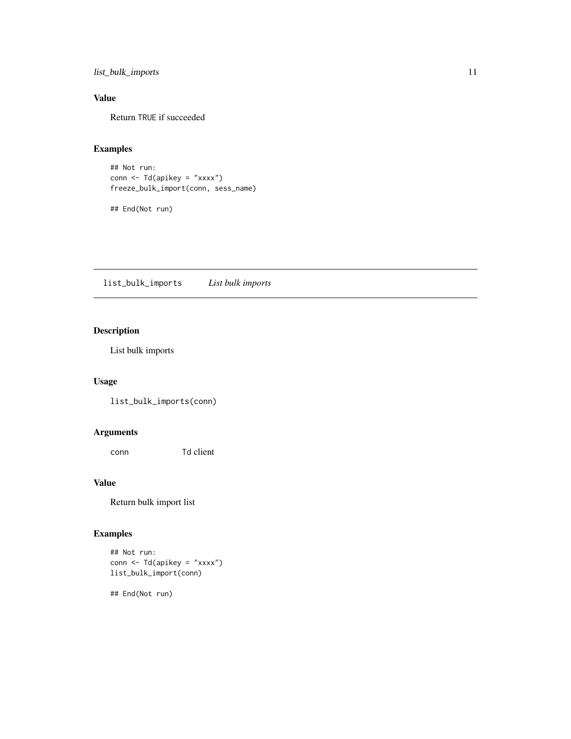<span id="page-10-0"></span>list\_bulk\_imports 11

# Value

Return TRUE if succeeded

# Examples

```
## Not run:
conn <- Td(apikey = "xxxx")
freeze_bulk_import(conn, sess_name)
```
## End(Not run)

list\_bulk\_imports *List bulk imports*

# Description

List bulk imports

# Usage

list\_bulk\_imports(conn)

# Arguments

conn Td client

# Value

Return bulk import list

# Examples

```
## Not run:
conn <- Td(apikey = "xxxx")
list_bulk_import(conn)
```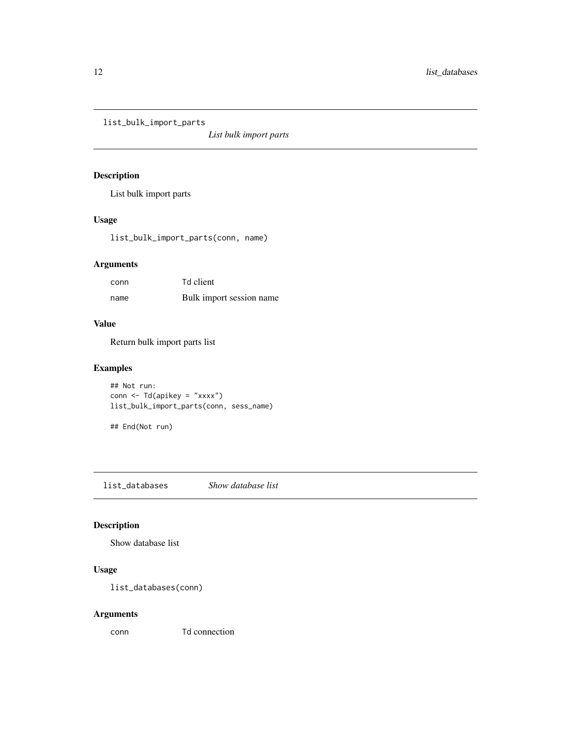<span id="page-11-0"></span>list\_bulk\_import\_parts

*List bulk import parts*

# Description

List bulk import parts

# Usage

list\_bulk\_import\_parts(conn, name)

# Arguments

| conn | Td client                |
|------|--------------------------|
| name | Bulk import session name |

# Value

Return bulk import parts list

# Examples

```
## Not run:
conn < - Td(apikey = "xxxx")list_bulk_import_parts(conn, sess_name)
```

```
## End(Not run)
```
list\_databases *Show database list*

# Description

Show database list

# Usage

list\_databases(conn)

# Arguments

conn Td connection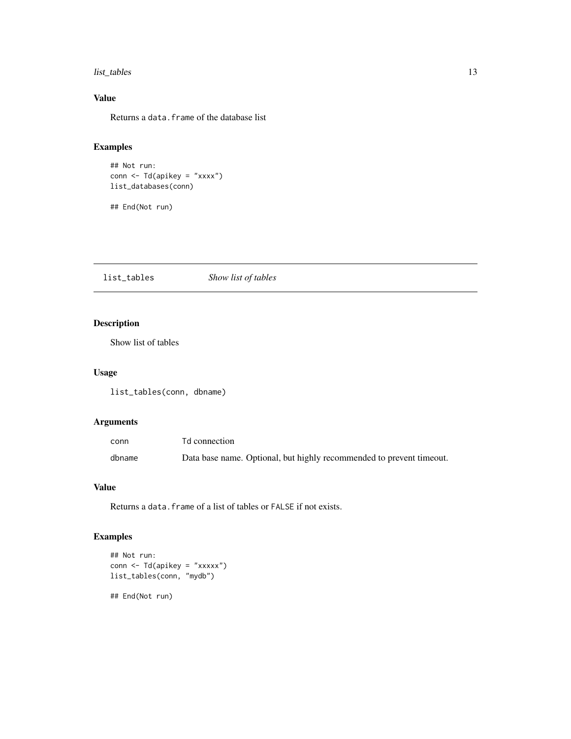#### <span id="page-12-0"></span>list\_tables 13

# Value

Returns a data.frame of the database list

# Examples

```
## Not run:
conn \leq Td(apikey = "xxxx")
list_databases(conn)
```
## End(Not run)

list\_tables *Show list of tables*

# Description

Show list of tables

# Usage

list\_tables(conn, dbname)

# Arguments

| conn   | Td connection                                                        |
|--------|----------------------------------------------------------------------|
| dbname | Data base name. Optional, but highly recommended to prevent timeout. |

# Value

Returns a data.frame of a list of tables or FALSE if not exists.

# Examples

```
## Not run:
conn <- Td(apikey = "xxxxx")
list_tables(conn, "mydb")
```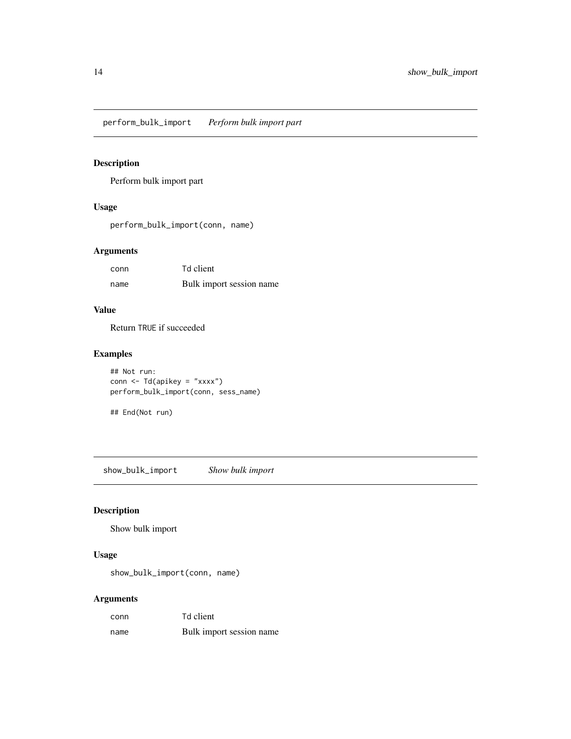<span id="page-13-0"></span>perform\_bulk\_import *Perform bulk import part*

# Description

Perform bulk import part

# Usage

perform\_bulk\_import(conn, name)

# Arguments

| conn | Td client                |
|------|--------------------------|
| name | Bulk import session name |

# Value

Return TRUE if succeeded

# Examples

```
## Not run:
conn <- Td(apikey = "xxxx")
perform_bulk_import(conn, sess_name)
```
## End(Not run)

show\_bulk\_import *Show bulk import*

# Description

Show bulk import

# Usage

show\_bulk\_import(conn, name)

| conn | Td client                |
|------|--------------------------|
| name | Bulk import session name |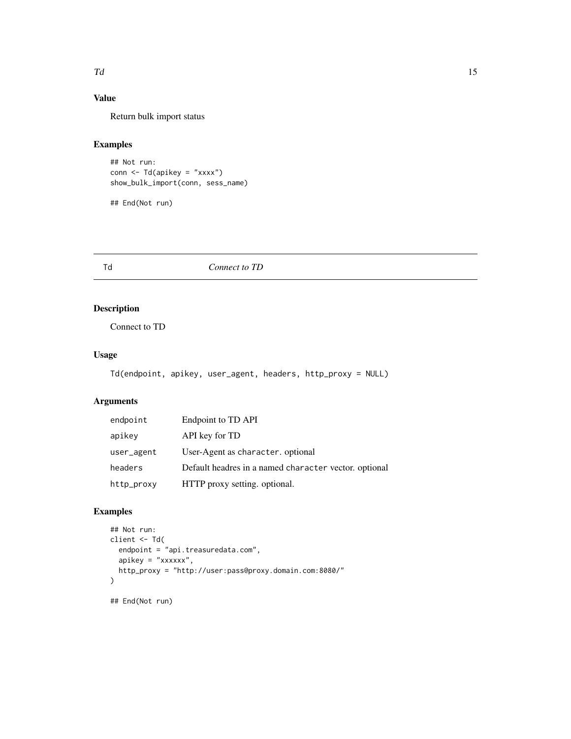#### <span id="page-14-0"></span> $Td$  and  $\frac{15}{2}$  15

# Value

Return bulk import status

# Examples

## Not run: conn  $\leq$  Td(apikey = "xxxx") show\_bulk\_import(conn, sess\_name)

## End(Not run)

Td *Connect to TD*

# Description

Connect to TD

# Usage

```
Td(endpoint, apikey, user_agent, headers, http_proxy = NULL)
```
# Arguments

| endpoint   | Endpoint to TD API                                    |
|------------|-------------------------------------------------------|
| apikey     | API key for TD                                        |
| user_agent | User-Agent as character. optional                     |
| headers    | Default headres in a named character vector. optional |
| http_proxy | HTTP proxy setting. optional.                         |

# Examples

```
## Not run:
client <- Td(
  endpoint = "api.treasuredata.com",
  apikey = "xxxxxx",
  http_proxy = "http://user:pass@proxy.domain.com:8080/"
)
```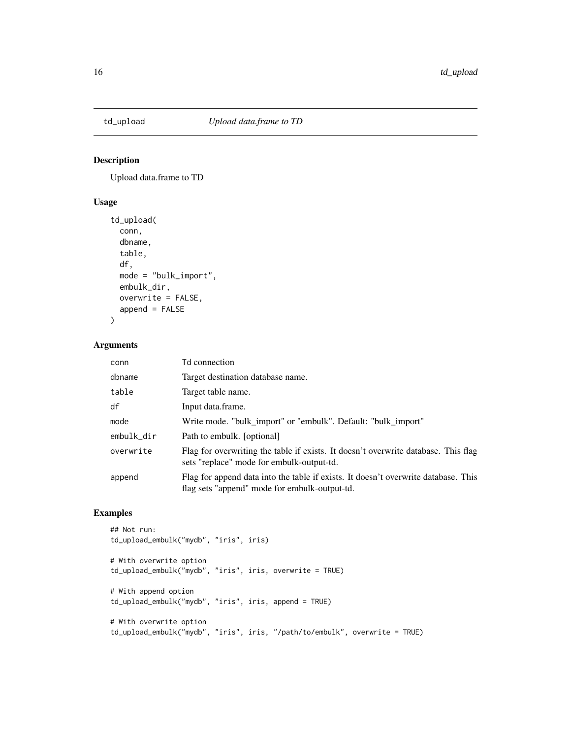<span id="page-15-0"></span>

# Description

Upload data.frame to TD

#### Usage

```
td_upload(
  conn,
 dbname,
  table,
 df,
 mode = "bulk_import",
 embulk_dir,
 overwrite = FALSE,
 append = FALSE)
```
# Arguments

| conn       | Td connection                                                                                                                       |
|------------|-------------------------------------------------------------------------------------------------------------------------------------|
| dbname     | Target destination database name.                                                                                                   |
| table      | Target table name.                                                                                                                  |
| df         | Input data.frame.                                                                                                                   |
| mode       | Write mode. "bulk import" or "embulk". Default: "bulk import"                                                                       |
| embulk_dir | Path to embulk. [optional]                                                                                                          |
| overwrite  | Flag for overwriting the table if exists. It doesn't overwrite database. This flag<br>sets "replace" mode for embulk-output-td.     |
| append     | Flag for append data into the table if exists. It doesn't overwrite database. This<br>flag sets "append" mode for embulk-output-td. |

# Examples

```
## Not run:
td_upload_embulk("mydb", "iris", iris)
# With overwrite option
td_upload_embulk("mydb", "iris", iris, overwrite = TRUE)
# With append option
td_upload_embulk("mydb", "iris", iris, append = TRUE)
# With overwrite option
td_upload_embulk("mydb", "iris", iris, "/path/to/embulk", overwrite = TRUE)
```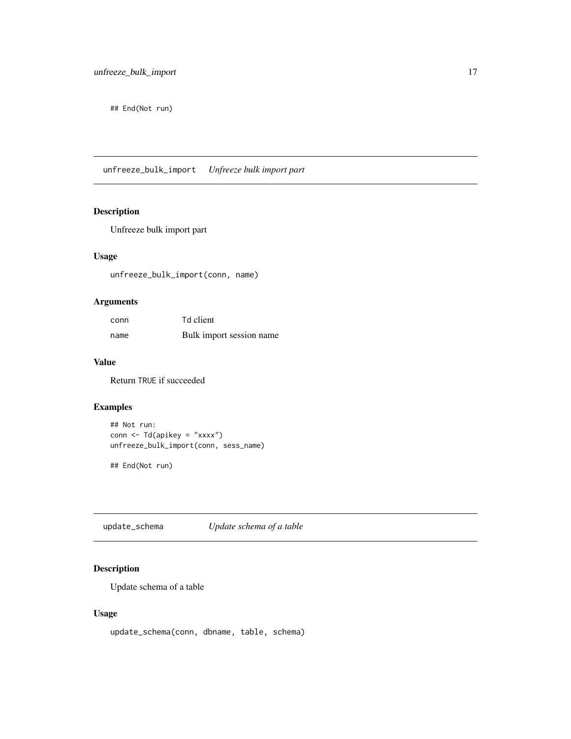<span id="page-16-0"></span>## End(Not run)

unfreeze\_bulk\_import *Unfreeze bulk import part*

# Description

Unfreeze bulk import part

# Usage

unfreeze\_bulk\_import(conn, name)

# Arguments

| conn | Td client                |
|------|--------------------------|
| name | Bulk import session name |

#### Value

Return TRUE if succeeded

# Examples

```
## Not run:
conn <- Td(apikey = "xxxx")
unfreeze_bulk_import(conn, sess_name)
```
## End(Not run)

update\_schema *Update schema of a table*

# Description

Update schema of a table

#### Usage

update\_schema(conn, dbname, table, schema)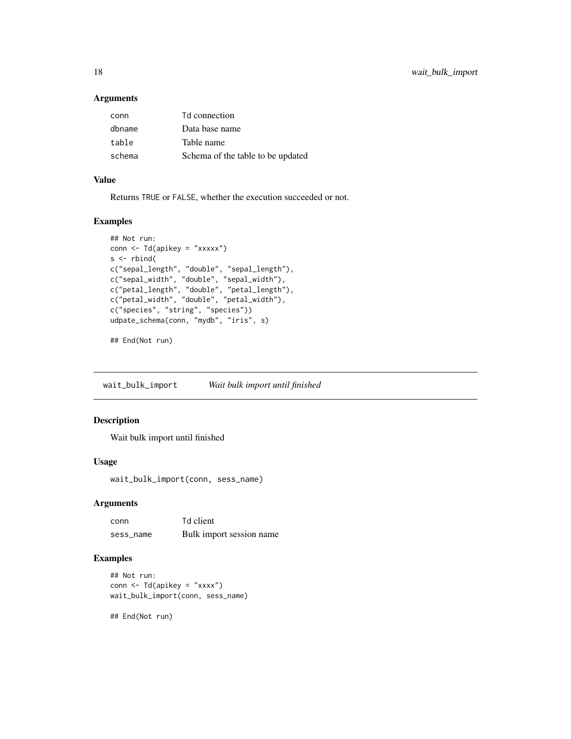#### Arguments

| conn   | Td connection                     |
|--------|-----------------------------------|
| dbname | Data base name                    |
| table  | Table name                        |
| schema | Schema of the table to be updated |

# Value

Returns TRUE or FALSE, whether the execution succeeded or not.

# Examples

```
## Not run:
conn <- Td(apikey = "xxxxx")
s < - rbind(
c("sepal_length", "double", "sepal_length"),
c("sepal_width", "double", "sepal_width"),
c("petal_length", "double", "petal_length"),
c("petal_width", "double", "petal_width"),
c("species", "string", "species"))
udpate_schema(conn, "mydb", "iris", s)
```
## End(Not run)

wait\_bulk\_import *Wait bulk import until finished*

# Description

Wait bulk import until finished

#### Usage

wait\_bulk\_import(conn, sess\_name)

#### Arguments

| conn      | Td client                |
|-----------|--------------------------|
| sess name | Bulk import session name |

# Examples

```
## Not run:
conn \leq Td(apikey = "xxxx")
wait_bulk_import(conn, sess_name)
```
<span id="page-17-0"></span>